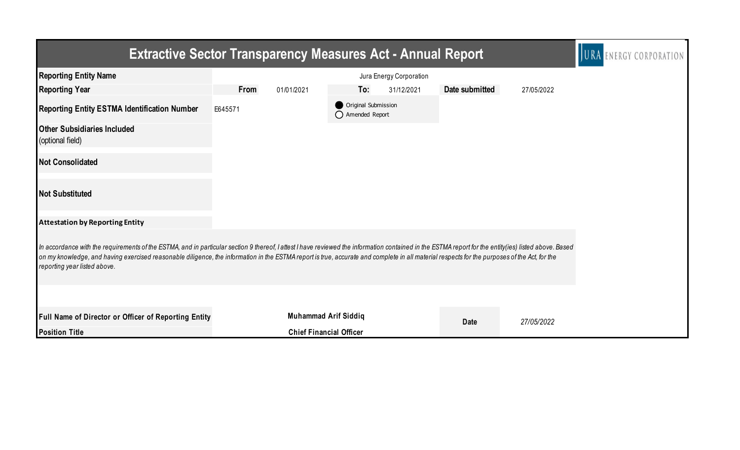|                                                                                                                                                                                                                                                                                                                                                                                                                                       | <b>Extractive Sector Transparency Measures Act - Annual Report</b> |                                         |                |            |  |  |  |  |
|---------------------------------------------------------------------------------------------------------------------------------------------------------------------------------------------------------------------------------------------------------------------------------------------------------------------------------------------------------------------------------------------------------------------------------------|--------------------------------------------------------------------|-----------------------------------------|----------------|------------|--|--|--|--|
| <b>Reporting Entity Name</b>                                                                                                                                                                                                                                                                                                                                                                                                          |                                                                    | Jura Energy Corporation                 |                |            |  |  |  |  |
| <b>Reporting Year</b>                                                                                                                                                                                                                                                                                                                                                                                                                 | From<br>01/01/2021                                                 | To:<br>31/12/2021                       | Date submitted | 27/05/2022 |  |  |  |  |
| <b>Reporting Entity ESTMA Identification Number</b>                                                                                                                                                                                                                                                                                                                                                                                   | E645571                                                            | Original Submission<br>◯ Amended Report |                |            |  |  |  |  |
| <b>Other Subsidiaries Included</b><br>(optional field)                                                                                                                                                                                                                                                                                                                                                                                |                                                                    |                                         |                |            |  |  |  |  |
| <b>Not Consolidated</b>                                                                                                                                                                                                                                                                                                                                                                                                               |                                                                    |                                         |                |            |  |  |  |  |
| <b>Not Substituted</b>                                                                                                                                                                                                                                                                                                                                                                                                                |                                                                    |                                         |                |            |  |  |  |  |
| <b>Attestation by Reporting Entity</b>                                                                                                                                                                                                                                                                                                                                                                                                |                                                                    |                                         |                |            |  |  |  |  |
| In accordance with the requirements of the ESTMA, and in particular section 9 thereof, I attest I have reviewed the information contained in the ESTMA report for the entity(ies) listed above. Based<br>on my knowledge, and having exercised reasonable diligence, the information in the ESTMA report is true, accurate and complete in all material respects for the purposes of the Act, for the<br>reporting year listed above. |                                                                    |                                         |                |            |  |  |  |  |
|                                                                                                                                                                                                                                                                                                                                                                                                                                       |                                                                    |                                         |                |            |  |  |  |  |
| Full Name of Director or Officer of Reporting Entity                                                                                                                                                                                                                                                                                                                                                                                  |                                                                    | <b>Muhammad Arif Siddiq</b>             | <b>Date</b>    | 27/05/2022 |  |  |  |  |
| <b>Position Title</b>                                                                                                                                                                                                                                                                                                                                                                                                                 |                                                                    | <b>Chief Financial Officer</b>          |                |            |  |  |  |  |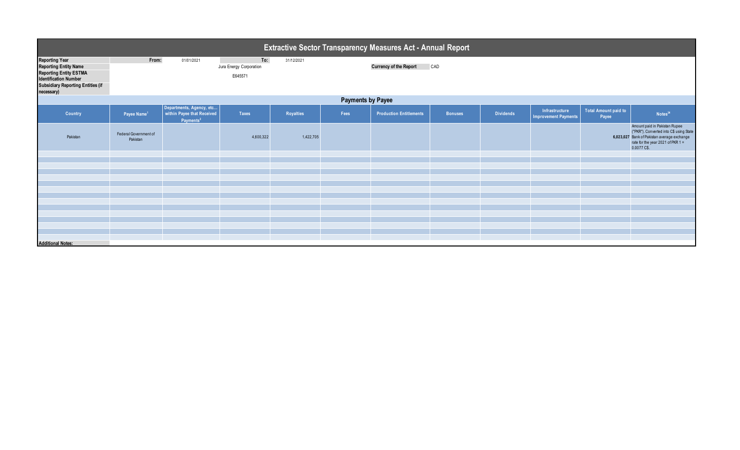| <b>Extractive Sector Transparency Measures Act - Annual Report</b>                                                                                                               |                                   |                                                                                 |                                           |            |      |                                |                |                  |                                               |                                      |                                                                                                                                                                               |
|----------------------------------------------------------------------------------------------------------------------------------------------------------------------------------|-----------------------------------|---------------------------------------------------------------------------------|-------------------------------------------|------------|------|--------------------------------|----------------|------------------|-----------------------------------------------|--------------------------------------|-------------------------------------------------------------------------------------------------------------------------------------------------------------------------------|
| <b>Reporting Year</b><br><b>Reporting Entity Name</b><br><b>Reporting Entity ESTMA</b><br><b>Identification Number</b><br><b>Subsidiary Reporting Entities (if</b><br>necessary) | From:                             | 01/01/2021                                                                      | To:<br>Jura Energy Corporation<br>E645571 | 31/12/2021 |      | <b>Currency of the Report</b>  | CAD            |                  |                                               |                                      |                                                                                                                                                                               |
| <b>Payments by Payee</b>                                                                                                                                                         |                                   |                                                                                 |                                           |            |      |                                |                |                  |                                               |                                      |                                                                                                                                                                               |
| Country                                                                                                                                                                          | Payee Name <sup>1</sup>           | Departments, Agency, etc<br>within Payee that Received<br>Payments <sup>2</sup> | <b>Taxes</b>                              | Royalties  | Fees | <b>Production Entitlements</b> | <b>Bonuses</b> | <b>Dividends</b> | Infrastructure<br><b>Improvement Payments</b> | <b>Total Amount paid to</b><br>Payee | Notes <sup>34</sup>                                                                                                                                                           |
| Pakistan                                                                                                                                                                         | Federal Government of<br>Pakistan |                                                                                 | 4,600,322                                 | 1,422,705  |      |                                |                |                  |                                               |                                      | Amount paid in Pakistan Rupee<br>("PKR"). Converted into C\$ using State<br>6,023,027 Bank of Pakistan average exchange<br>rate for the year 2021 of PKR $1 =$<br>0.0077 C\$. |
|                                                                                                                                                                                  |                                   |                                                                                 |                                           |            |      |                                |                |                  |                                               |                                      |                                                                                                                                                                               |
|                                                                                                                                                                                  |                                   |                                                                                 |                                           |            |      |                                |                |                  |                                               |                                      |                                                                                                                                                                               |
|                                                                                                                                                                                  |                                   |                                                                                 |                                           |            |      |                                |                |                  |                                               |                                      |                                                                                                                                                                               |
|                                                                                                                                                                                  |                                   |                                                                                 |                                           |            |      |                                |                |                  |                                               |                                      |                                                                                                                                                                               |
|                                                                                                                                                                                  |                                   |                                                                                 |                                           |            |      |                                |                |                  |                                               |                                      |                                                                                                                                                                               |
|                                                                                                                                                                                  |                                   |                                                                                 |                                           |            |      |                                |                |                  |                                               |                                      |                                                                                                                                                                               |
|                                                                                                                                                                                  |                                   |                                                                                 |                                           |            |      |                                |                |                  |                                               |                                      |                                                                                                                                                                               |
|                                                                                                                                                                                  |                                   |                                                                                 |                                           |            |      |                                |                |                  |                                               |                                      |                                                                                                                                                                               |
|                                                                                                                                                                                  |                                   |                                                                                 |                                           |            |      |                                |                |                  |                                               |                                      |                                                                                                                                                                               |
|                                                                                                                                                                                  |                                   |                                                                                 |                                           |            |      |                                |                |                  |                                               |                                      |                                                                                                                                                                               |
| <b>Additional Notes:</b>                                                                                                                                                         |                                   |                                                                                 |                                           |            |      |                                |                |                  |                                               |                                      |                                                                                                                                                                               |